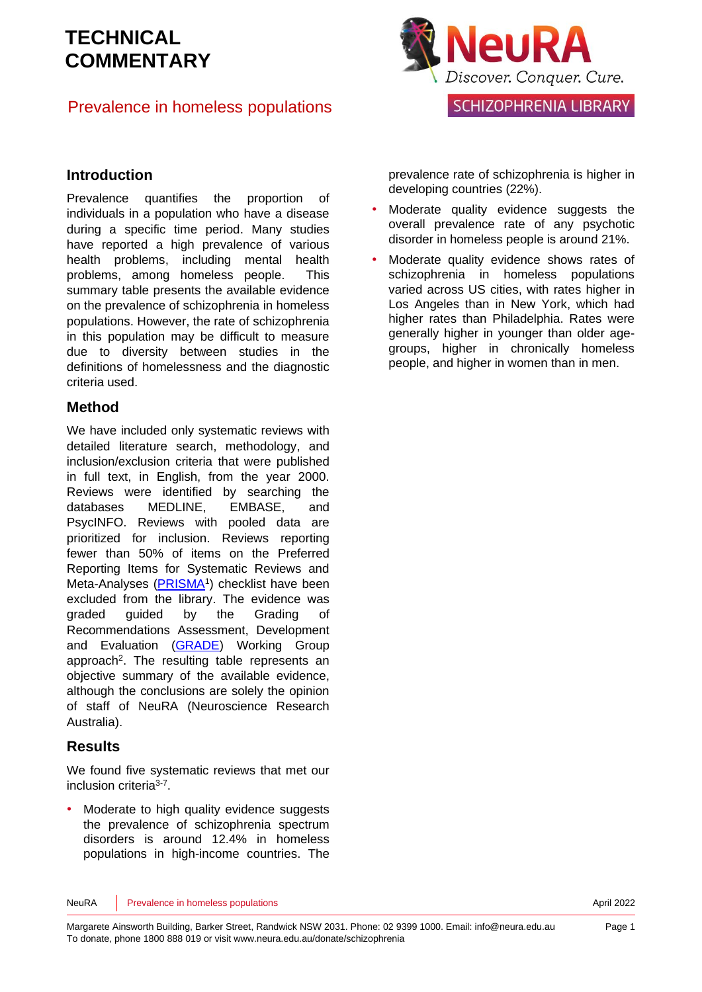#### Prevalence in homeless populations



**SCHIZOPHRENIA LIBRARY** 

#### **Introduction**

Prevalence quantifies the proportion of individuals in a population who have a disease during a specific time period. Many studies have reported a high prevalence of various health problems, including mental health problems, among homeless people. This summary table presents the available evidence on the prevalence of schizophrenia in homeless populations. However, the rate of schizophrenia in this population may be difficult to measure due to diversity between studies in the definitions of homelessness and the diagnostic criteria used.

#### **Method**

We have included only systematic reviews with detailed literature search, methodology, and inclusion/exclusion criteria that were published in full text, in English, from the year 2000. Reviews were identified by searching the databases MEDLINE, EMBASE, and PsycINFO. Reviews with pooled data are prioritized for inclusion. Reviews reporting fewer than 50% of items on the Preferred Reporting Items for Systematic Reviews and Meta-Analyses [\(PRISMA](http://www.prisma-statement.org/)<sup>[1](#page-9-0)</sup>) checklist have been excluded from the library. The evidence was graded guided by the Grading of Recommendations Assessment, Development and Evaluation [\(GRADE\)](http://www.gradeworkinggroup.org/) Working Group approach<sup>2</sup>[.](#page-9-1) The resulting table represents an objective summary of the available evidence, although the conclusions are solely the opinion of staff of NeuRA (Neuroscience Research Australia).

#### **Results**

We found five systematic reviews that met our inclusion criteria<sup>[3-7](#page-9-2)</sup>.

Moderate to high quality evidence suggests the prevalence of schizophrenia spectrum disorders is around 12.4% in homeless populations in high-income countries. The prevalence rate of schizophrenia is higher in developing countries (22%).

- Moderate quality evidence suggests the overall prevalence rate of any psychotic disorder in homeless people is around 21%.
- Moderate quality evidence shows rates of schizophrenia in homeless populations varied across US cities, with rates higher in Los Angeles than in New York, which had higher rates than Philadelphia. Rates were generally higher in younger than older agegroups, higher in chronically homeless people, and higher in women than in men.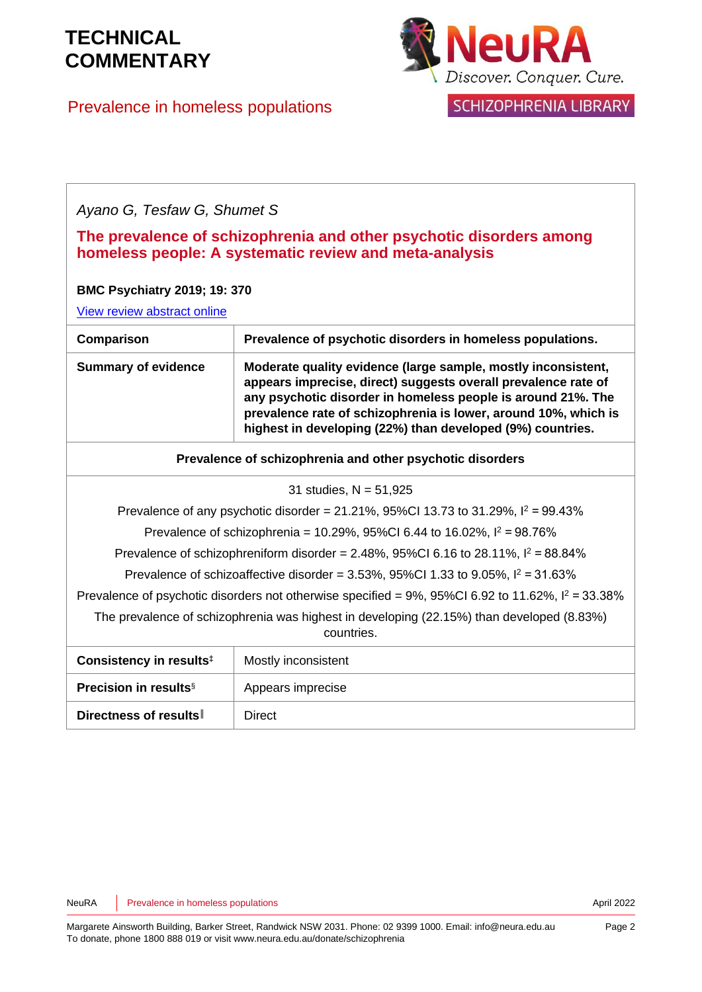| Prevalence in homeless populations |  |
|------------------------------------|--|



**SCHIZOPHRENIA LIBRARY** 

#### *Ayano G, Tesfaw G, Shumet S*

|  |  |                                                        | The prevalence of schizophrenia and other psychotic disorders among |
|--|--|--------------------------------------------------------|---------------------------------------------------------------------|
|  |  | homeless people: A systematic review and meta-analysis |                                                                     |

#### **BMC Psychiatry 2019; 19: 370**

[View review abstract](https://bmcpsychiatry.biomedcentral.com/articles/10.1186/s12888-019-2361-7) online

| Prevalence of psychotic disorders in homeless populations.                                                                                                                                                                                                                                                                       |
|----------------------------------------------------------------------------------------------------------------------------------------------------------------------------------------------------------------------------------------------------------------------------------------------------------------------------------|
| Moderate quality evidence (large sample, mostly inconsistent,<br>appears imprecise, direct) suggests overall prevalence rate of<br>any psychotic disorder in homeless people is around 21%. The<br>prevalence rate of schizophrenia is lower, around 10%, which is<br>highest in developing (22%) than developed (9%) countries. |
| Prevalence of schizophrenia and other psychotic disorders                                                                                                                                                                                                                                                                        |
|                                                                                                                                                                                                                                                                                                                                  |

#### 31 studies, N = 51,925

Prevalence of any psychotic disorder =  $21.21\%$ ,  $95\%$ CI 13.73 to 31.29%,  $I^2 = 99.43\%$ 

Prevalence of schizophrenia = 10.29%, 95%CI 6.44 to 16.02%,  $I^2 = 98.76\%$ 

Prevalence of schizophreniform disorder =  $2.48\%$ ,  $95\%$ CI 6.16 to  $28.11\%$ ,  $I^2 = 88.84\%$ 

Prevalence of schizoaffective disorder =  $3.53\%$ ,  $95\%$ CI 1.33 to  $9.05\%$ ,  $I^2 = 31.63\%$ 

Prevalence of psychotic disorders not otherwise specified =  $9\%$ ,  $95\%$ CI 6.92 to 11.62%,  $I^2 = 33.38\%$ 

The prevalence of schizophrenia was highest in developing (22.15%) than developed (8.83%) countries.

| Consistency in results <sup>‡</sup>      | Mostly inconsistent |
|------------------------------------------|---------------------|
| <b>Precision in results</b> <sup>§</sup> | Appears imprecise   |
| Directness of results                    | Direct              |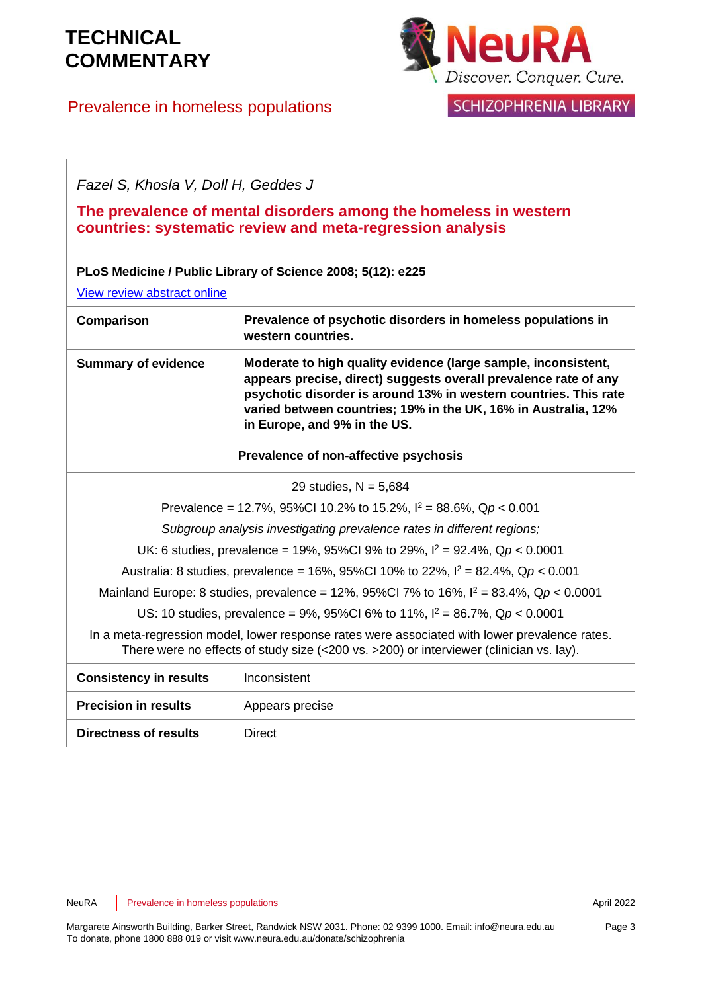### Prevalence in homeless populations



**SCHIZOPHRENIA LIBRARY** 

*Fazel S, Khosla V, Doll H, Geddes J*

**The prevalence of mental disorders among the homeless in western countries: systematic review and meta-regression analysis**

#### **PLoS Medicine / Public Library of Science 2008; 5(12): e225**

[View review abstract](http://www.ncbi.nlm.nih.gov/pubmed/19053169) online

| Comparison                 | Prevalence of psychotic disorders in homeless populations in<br>western countries.                                                                                                                                                                                                                       |
|----------------------------|----------------------------------------------------------------------------------------------------------------------------------------------------------------------------------------------------------------------------------------------------------------------------------------------------------|
| <b>Summary of evidence</b> | Moderate to high quality evidence (large sample, inconsistent,<br>appears precise, direct) suggests overall prevalence rate of any<br>psychotic disorder is around 13% in western countries. This rate<br>varied between countries; 19% in the UK, 16% in Australia, 12%<br>in Europe, and 9% in the US. |

#### **Prevalence of non-affective psychosis**

Prevalence = 12.7%, 95%CI 10.2% to 15.2%, I <sup>2</sup> = 88.6%, Q*p* < 0.001

*Subgroup analysis investigating prevalence rates in different regions;*

UK: 6 studies, prevalence = 19%, 95%CI 9% to 29%, I <sup>2</sup> = 92.4%, Q*p* < 0.0001

Australia: 8 studies, prevalence = 16%, 95%CI 10% to 22%, I <sup>2</sup> = 82.4%, Q*p* < 0.001

Mainland Europe: 8 studies, prevalence = 12%, 95%CI 7% to 16%, I <sup>2</sup> = 83.4%, Q*p* < 0.0001

US: 10 studies, prevalence = 9%, 95%CI 6% to 11%, I <sup>2</sup> = 86.7%, Q*p* < 0.0001

In a meta-regression model, lower response rates were associated with lower prevalence rates. There were no effects of study size (<200 vs. >200) or interviewer (clinician vs. lay).

| <b>Consistency in results</b> | Inconsistent    |
|-------------------------------|-----------------|
| <b>Precision in results</b>   | Appears precise |
| <b>Directness of results</b>  | Direct          |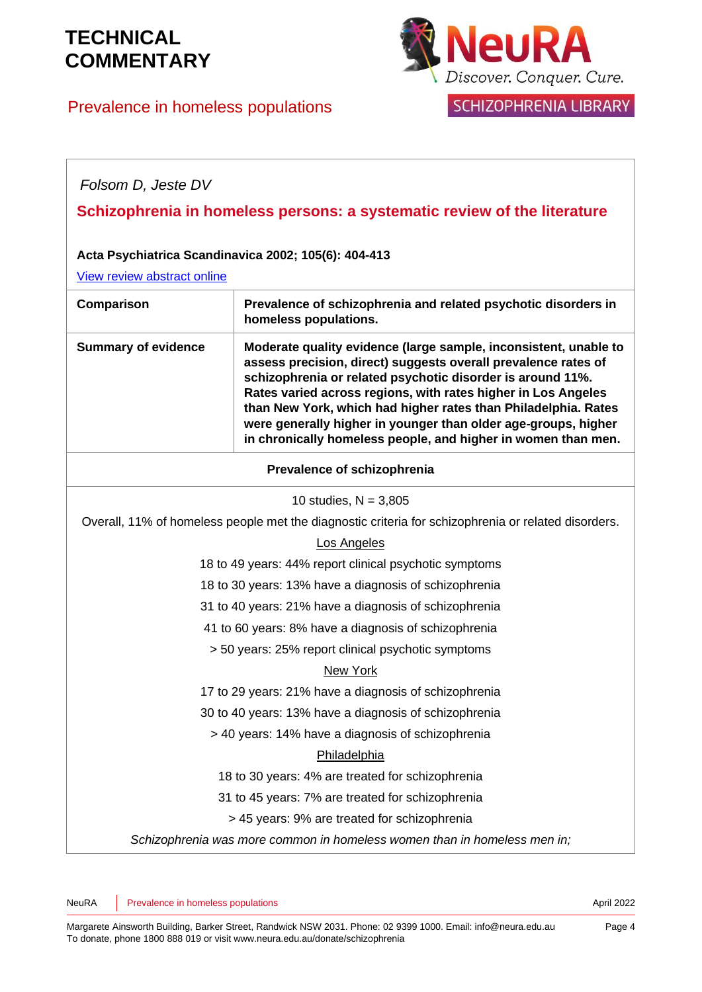### Prevalence in homeless populations



**SCHIZOPHRENIA LIBRARY** 

### *Folsom D, Jeste DV* **Schizophrenia in homeless persons: a systematic review of the literature Acta Psychiatrica Scandinavica 2002; 105(6): 404-413** [View review abstract online](http://www.ncbi.nlm.nih.gov/pubmed/12059843) **Comparison Prevalence of schizophrenia and related psychotic disorders in homeless populations. Summary of evidence Moderate quality evidence (large sample, inconsistent, unable to assess precision, direct) suggests overall prevalence rates of schizophrenia or related psychotic disorder is around 11%. Rates varied across regions, with rates higher in Los Angeles than New York, which had higher rates than Philadelphia. Rates were generally higher in younger than older age-groups, higher in chronically homeless people, and higher in women than men. Prevalence of schizophrenia** 10 studies,  $N = 3,805$ Overall, 11% of homeless people met the diagnostic criteria for schizophrenia or related disorders. Los Angeles 18 to 49 years: 44% report clinical psychotic symptoms 18 to 30 years: 13% have a diagnosis of schizophrenia 31 to 40 years: 21% have a diagnosis of schizophrenia 41 to 60 years: 8% have a diagnosis of schizophrenia > 50 years: 25% report clinical psychotic symptoms New York 17 to 29 years: 21% have a diagnosis of schizophrenia 30 to 40 years: 13% have a diagnosis of schizophrenia > 40 years: 14% have a diagnosis of schizophrenia Philadelphia 18 to 30 years: 4% are treated for schizophrenia 31 to 45 years: 7% are treated for schizophrenia > 45 years: 9% are treated for schizophrenia *Schizophrenia was more common in homeless women than in homeless men in;*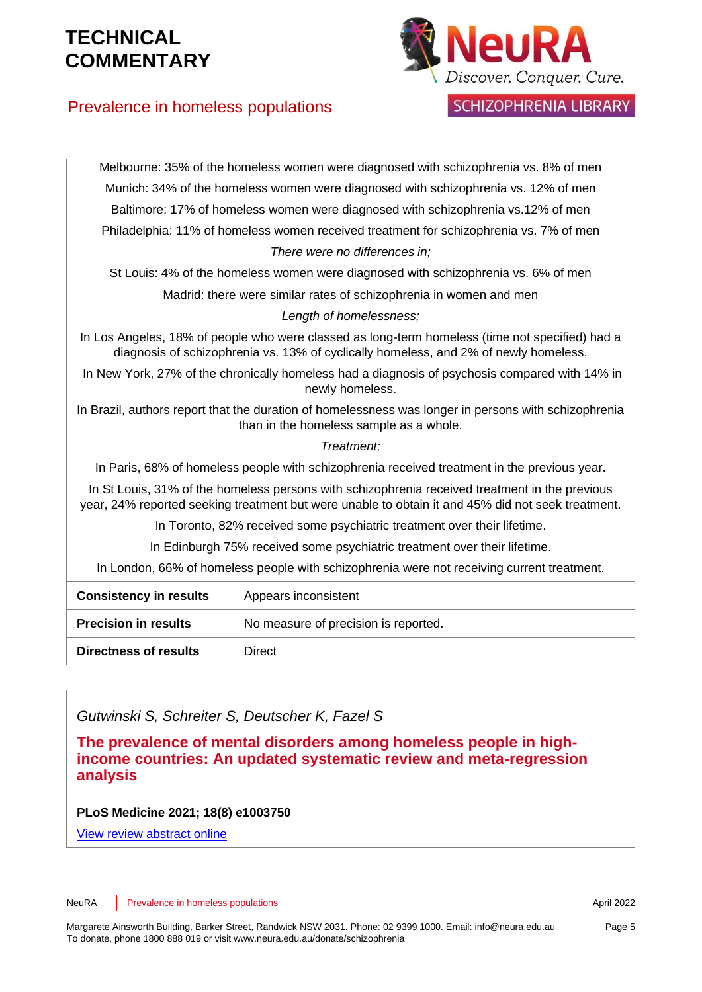

**SCHIZOPHRENIA LIBRARY** 

### Prevalence in homeless populations

| Munich: 34% of the homeless women were diagnosed with schizophrenia vs. 12% of men<br>Baltimore: 17% of homeless women were diagnosed with schizophrenia vs.12% of men<br>Philadelphia: 11% of homeless women received treatment for schizophrenia vs. 7% of men<br>There were no differences in;<br>St Louis: 4% of the homeless women were diagnosed with schizophrenia vs. 6% of men<br>Madrid: there were similar rates of schizophrenia in women and men<br>Length of homelessness;<br>In Los Angeles, 18% of people who were classed as long-term homeless (time not specified) had a<br>diagnosis of schizophrenia vs. 13% of cyclically homeless, and 2% of newly homeless.<br>In New York, 27% of the chronically homeless had a diagnosis of psychosis compared with 14% in<br>newly homeless.<br>In Brazil, authors report that the duration of homelessness was longer in persons with schizophrenia<br>than in the homeless sample as a whole.<br>Treatment:<br>In Paris, 68% of homeless people with schizophrenia received treatment in the previous year.<br>In St Louis, 31% of the homeless persons with schizophrenia received treatment in the previous<br>year, 24% reported seeking treatment but were unable to obtain it and 45% did not seek treatment.<br>In Toronto, 82% received some psychiatric treatment over their lifetime.<br>In Edinburgh 75% received some psychiatric treatment over their lifetime.<br>In London, 66% of homeless people with schizophrenia were not receiving current treatment.<br><b>Consistency in results</b><br>Appears inconsistent<br><b>Precision in results</b><br>No measure of precision is reported.<br><b>Directness of results</b><br><b>Direct</b> |  |  |  |  |
|--------------------------------------------------------------------------------------------------------------------------------------------------------------------------------------------------------------------------------------------------------------------------------------------------------------------------------------------------------------------------------------------------------------------------------------------------------------------------------------------------------------------------------------------------------------------------------------------------------------------------------------------------------------------------------------------------------------------------------------------------------------------------------------------------------------------------------------------------------------------------------------------------------------------------------------------------------------------------------------------------------------------------------------------------------------------------------------------------------------------------------------------------------------------------------------------------------------------------------------------------------------------------------------------------------------------------------------------------------------------------------------------------------------------------------------------------------------------------------------------------------------------------------------------------------------------------------------------------------------------------------------------------------------------------------------------------------------------------|--|--|--|--|
|                                                                                                                                                                                                                                                                                                                                                                                                                                                                                                                                                                                                                                                                                                                                                                                                                                                                                                                                                                                                                                                                                                                                                                                                                                                                                                                                                                                                                                                                                                                                                                                                                                                                                                                          |  |  |  |  |
|                                                                                                                                                                                                                                                                                                                                                                                                                                                                                                                                                                                                                                                                                                                                                                                                                                                                                                                                                                                                                                                                                                                                                                                                                                                                                                                                                                                                                                                                                                                                                                                                                                                                                                                          |  |  |  |  |
|                                                                                                                                                                                                                                                                                                                                                                                                                                                                                                                                                                                                                                                                                                                                                                                                                                                                                                                                                                                                                                                                                                                                                                                                                                                                                                                                                                                                                                                                                                                                                                                                                                                                                                                          |  |  |  |  |
|                                                                                                                                                                                                                                                                                                                                                                                                                                                                                                                                                                                                                                                                                                                                                                                                                                                                                                                                                                                                                                                                                                                                                                                                                                                                                                                                                                                                                                                                                                                                                                                                                                                                                                                          |  |  |  |  |
|                                                                                                                                                                                                                                                                                                                                                                                                                                                                                                                                                                                                                                                                                                                                                                                                                                                                                                                                                                                                                                                                                                                                                                                                                                                                                                                                                                                                                                                                                                                                                                                                                                                                                                                          |  |  |  |  |
|                                                                                                                                                                                                                                                                                                                                                                                                                                                                                                                                                                                                                                                                                                                                                                                                                                                                                                                                                                                                                                                                                                                                                                                                                                                                                                                                                                                                                                                                                                                                                                                                                                                                                                                          |  |  |  |  |
|                                                                                                                                                                                                                                                                                                                                                                                                                                                                                                                                                                                                                                                                                                                                                                                                                                                                                                                                                                                                                                                                                                                                                                                                                                                                                                                                                                                                                                                                                                                                                                                                                                                                                                                          |  |  |  |  |
|                                                                                                                                                                                                                                                                                                                                                                                                                                                                                                                                                                                                                                                                                                                                                                                                                                                                                                                                                                                                                                                                                                                                                                                                                                                                                                                                                                                                                                                                                                                                                                                                                                                                                                                          |  |  |  |  |
|                                                                                                                                                                                                                                                                                                                                                                                                                                                                                                                                                                                                                                                                                                                                                                                                                                                                                                                                                                                                                                                                                                                                                                                                                                                                                                                                                                                                                                                                                                                                                                                                                                                                                                                          |  |  |  |  |
|                                                                                                                                                                                                                                                                                                                                                                                                                                                                                                                                                                                                                                                                                                                                                                                                                                                                                                                                                                                                                                                                                                                                                                                                                                                                                                                                                                                                                                                                                                                                                                                                                                                                                                                          |  |  |  |  |
|                                                                                                                                                                                                                                                                                                                                                                                                                                                                                                                                                                                                                                                                                                                                                                                                                                                                                                                                                                                                                                                                                                                                                                                                                                                                                                                                                                                                                                                                                                                                                                                                                                                                                                                          |  |  |  |  |
|                                                                                                                                                                                                                                                                                                                                                                                                                                                                                                                                                                                                                                                                                                                                                                                                                                                                                                                                                                                                                                                                                                                                                                                                                                                                                                                                                                                                                                                                                                                                                                                                                                                                                                                          |  |  |  |  |
|                                                                                                                                                                                                                                                                                                                                                                                                                                                                                                                                                                                                                                                                                                                                                                                                                                                                                                                                                                                                                                                                                                                                                                                                                                                                                                                                                                                                                                                                                                                                                                                                                                                                                                                          |  |  |  |  |
|                                                                                                                                                                                                                                                                                                                                                                                                                                                                                                                                                                                                                                                                                                                                                                                                                                                                                                                                                                                                                                                                                                                                                                                                                                                                                                                                                                                                                                                                                                                                                                                                                                                                                                                          |  |  |  |  |
|                                                                                                                                                                                                                                                                                                                                                                                                                                                                                                                                                                                                                                                                                                                                                                                                                                                                                                                                                                                                                                                                                                                                                                                                                                                                                                                                                                                                                                                                                                                                                                                                                                                                                                                          |  |  |  |  |
|                                                                                                                                                                                                                                                                                                                                                                                                                                                                                                                                                                                                                                                                                                                                                                                                                                                                                                                                                                                                                                                                                                                                                                                                                                                                                                                                                                                                                                                                                                                                                                                                                                                                                                                          |  |  |  |  |
|                                                                                                                                                                                                                                                                                                                                                                                                                                                                                                                                                                                                                                                                                                                                                                                                                                                                                                                                                                                                                                                                                                                                                                                                                                                                                                                                                                                                                                                                                                                                                                                                                                                                                                                          |  |  |  |  |
|                                                                                                                                                                                                                                                                                                                                                                                                                                                                                                                                                                                                                                                                                                                                                                                                                                                                                                                                                                                                                                                                                                                                                                                                                                                                                                                                                                                                                                                                                                                                                                                                                                                                                                                          |  |  |  |  |
|                                                                                                                                                                                                                                                                                                                                                                                                                                                                                                                                                                                                                                                                                                                                                                                                                                                                                                                                                                                                                                                                                                                                                                                                                                                                                                                                                                                                                                                                                                                                                                                                                                                                                                                          |  |  |  |  |

Melbourne: 35% of the homeless women were diagnosed with schizophrenia vs. 8% of men

*Gutwinski S, Schreiter S, Deutscher K, Fazel S*

**The prevalence of mental disorders among homeless people in highincome countries: An updated systematic review and meta-regression analysis**

**PLoS Medicine 2021; 18(8) e1003750**

[View review abstract](https://pubmed.ncbi.nlm.nih.gov/34424908/) online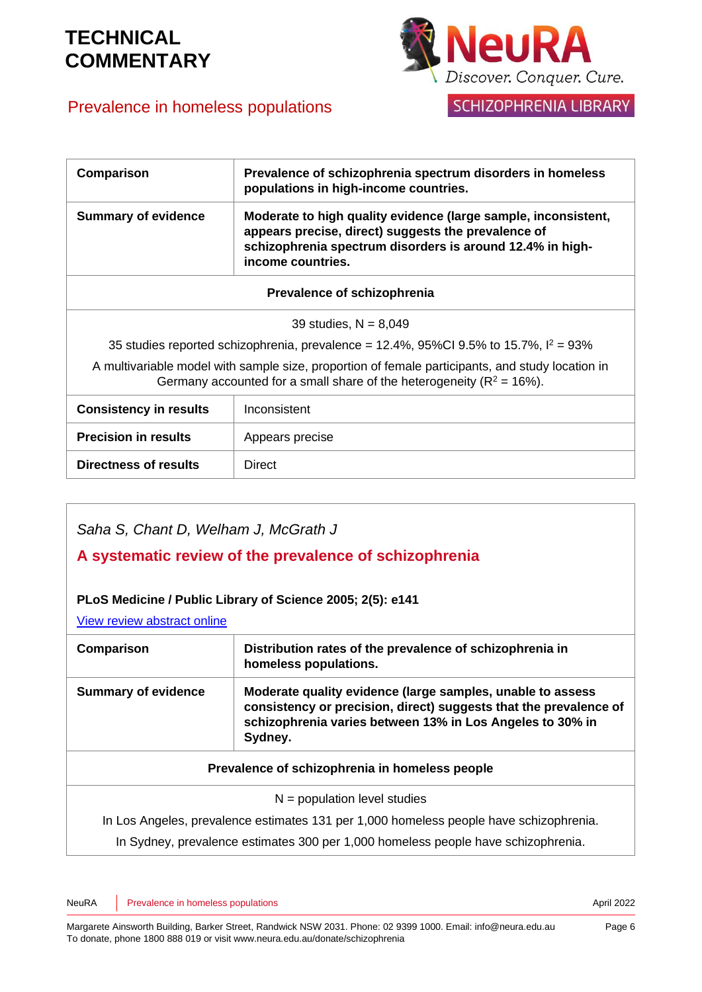### Prevalence in homeless populations



SCHIZOPHRENIA LIBRARY

| Comparison                                                                                                                                                                   | Prevalence of schizophrenia spectrum disorders in homeless<br>populations in high-income countries.                                                                                                     |  |
|------------------------------------------------------------------------------------------------------------------------------------------------------------------------------|---------------------------------------------------------------------------------------------------------------------------------------------------------------------------------------------------------|--|
| <b>Summary of evidence</b>                                                                                                                                                   | Moderate to high quality evidence (large sample, inconsistent,<br>appears precise, direct) suggests the prevalence of<br>schizophrenia spectrum disorders is around 12.4% in high-<br>income countries. |  |
| Prevalence of schizophrenia                                                                                                                                                  |                                                                                                                                                                                                         |  |
| 39 studies, $N = 8,049$                                                                                                                                                      |                                                                                                                                                                                                         |  |
| 35 studies reported schizophrenia, prevalence = 12.4%, 95%Cl 9.5% to 15.7%, $l^2 = 93\%$                                                                                     |                                                                                                                                                                                                         |  |
| A multivariable model with sample size, proportion of female participants, and study location in<br>Germany accounted for a small share of the heterogeneity ( $R^2$ = 16%). |                                                                                                                                                                                                         |  |
| <b>Consistency in results</b>                                                                                                                                                | Inconsistent                                                                                                                                                                                            |  |
| <b>Precision in results</b>                                                                                                                                                  | Appears precise                                                                                                                                                                                         |  |
| Directness of results                                                                                                                                                        | <b>Direct</b>                                                                                                                                                                                           |  |

| Saha S, Chant D, Welham J, McGrath J<br>A systematic review of the prevalence of schizophrenia |                                                                                                                                                                                                         |  |  |
|------------------------------------------------------------------------------------------------|---------------------------------------------------------------------------------------------------------------------------------------------------------------------------------------------------------|--|--|
| PLoS Medicine / Public Library of Science 2005; 2(5): e141                                     |                                                                                                                                                                                                         |  |  |
| View review abstract online                                                                    |                                                                                                                                                                                                         |  |  |
| Comparison                                                                                     | Distribution rates of the prevalence of schizophrenia in<br>homeless populations.                                                                                                                       |  |  |
| <b>Summary of evidence</b>                                                                     | Moderate quality evidence (large samples, unable to assess<br>consistency or precision, direct) suggests that the prevalence of<br>schizophrenia varies between 13% in Los Angeles to 30% in<br>Sydney. |  |  |
| Prevalence of schizophrenia in homeless people                                                 |                                                                                                                                                                                                         |  |  |
| $N =$ population level studies                                                                 |                                                                                                                                                                                                         |  |  |
| In Los Angeles, prevalence estimates 131 per 1,000 homeless people have schizophrenia.         |                                                                                                                                                                                                         |  |  |
| In Sydney, prevalence estimates 300 per 1,000 homeless people have schizophrenia.              |                                                                                                                                                                                                         |  |  |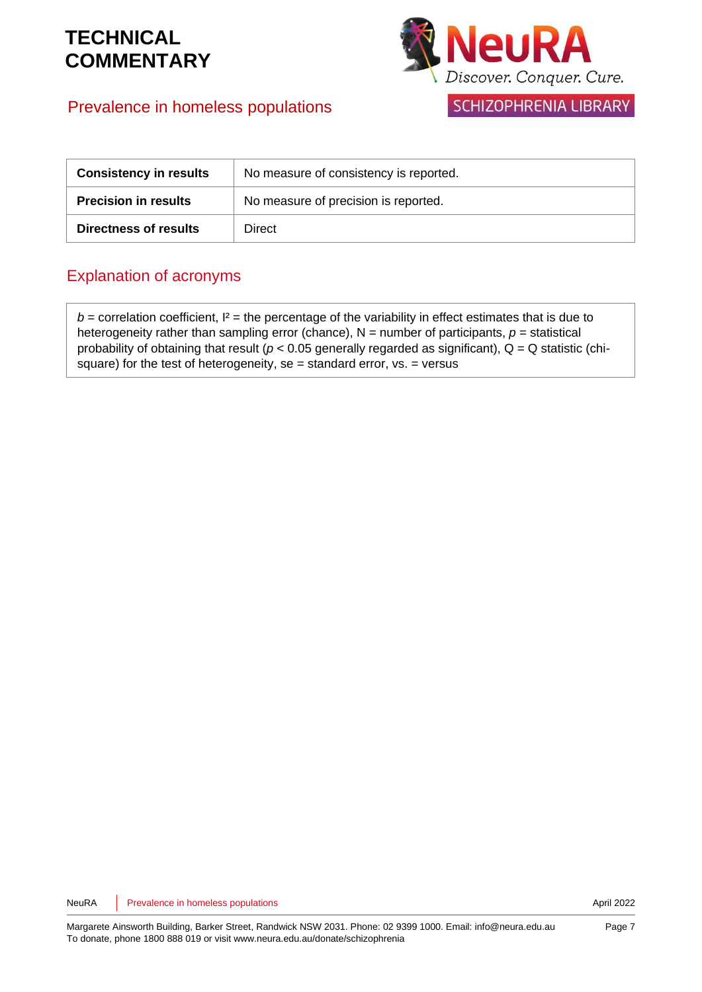### Prevalence in homeless populations



**SCHIZOPHRENIA LIBRARY** 

| <b>Consistency in results</b> | No measure of consistency is reported. |
|-------------------------------|----------------------------------------|
| <b>Precision in results</b>   | No measure of precision is reported.   |
| <b>Directness of results</b>  | Direct                                 |

### Explanation of acronyms

 $b =$  correlation coefficient,  $I^2 =$  the percentage of the variability in effect estimates that is due to heterogeneity rather than sampling error (chance),  $N =$  number of participants,  $p =$  statistical probability of obtaining that result ( $p < 0.05$  generally regarded as significant),  $Q = Q$  statistic (chisquare) for the test of heterogeneity, se = standard error,  $vs. = versus$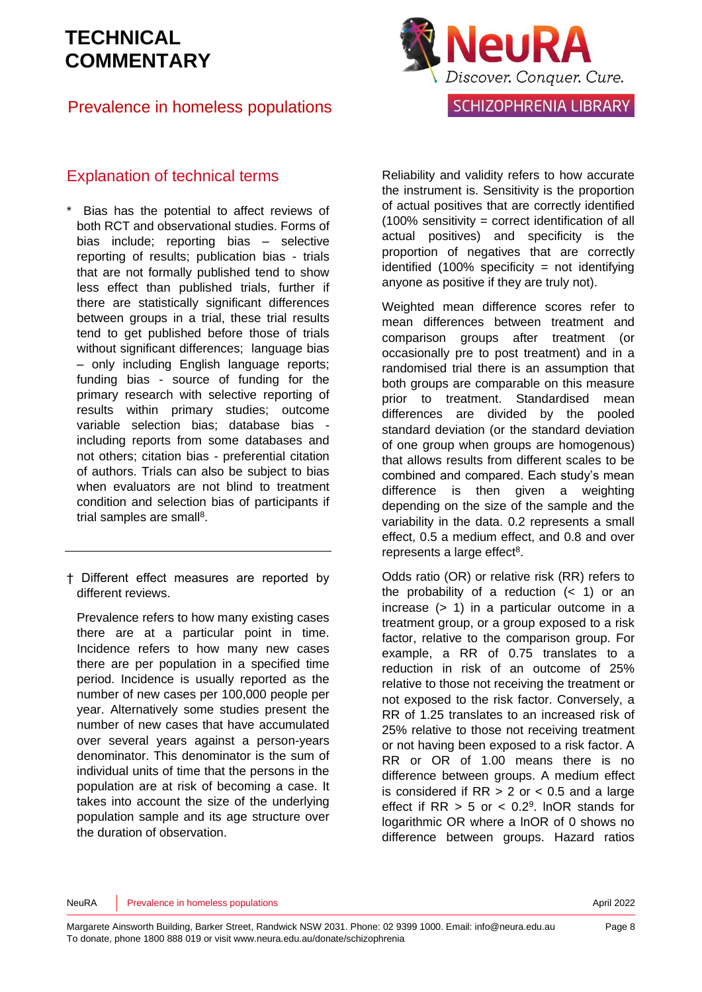#### Prevalence in homeless populations



#### Explanation of technical terms

- Bias has the potential to affect reviews of both RCT and observational studies. Forms of bias include; reporting bias – selective reporting of results; publication bias - trials that are not formally published tend to show less effect than published trials, further if there are statistically significant differences between groups in a trial, these trial results tend to get published before those of trials without significant differences; language bias – only including English language reports; funding bias - source of funding for the primary research with selective reporting of results within primary studies; outcome variable selection bias; database bias including reports from some databases and not others; citation bias - preferential citation of authors. Trials can also be subject to bias when evaluators are not blind to treatment condition and selection bias of participants if trial samples are sma[ll](#page-9-3)<sup>8</sup>.
- † Different effect measures are reported by different reviews.

Prevalence refers to how many existing cases there are at a particular point in time. Incidence refers to how many new cases there are per population in a specified time period. Incidence is usually reported as the number of new cases per 100,000 people per year. Alternatively some studies present the number of new cases that have accumulated over several years against a person-years denominator. This denominator is the sum of individual units of time that the persons in the population are at risk of becoming a case. It takes into account the size of the underlying population sample and its age structure over the duration of observation.

Reliability and validity refers to how accurate the instrument is. Sensitivity is the proportion of actual positives that are correctly identified  $(100\%$  sensitivity = correct identification of all actual positives) and specificity is the proportion of negatives that are correctly identified  $(100\%$  specificity = not identifying anyone as positive if they are truly not).

Weighted mean difference scores refer to mean differences between treatment and comparison groups after treatment (or occasionally pre to post treatment) and in a randomised trial there is an assumption that both groups are comparable on this measure prior to treatment. Standardised mean differences are divided by the pooled standard deviation (or the standard deviation of one group when groups are homogenous) that allows results from different scales to be combined and compared. Each study's mean difference is then given a weighting depending on the size of the sample and the variability in the data. 0.2 represents a small effect, 0.5 a medium effect, and 0.8 and over represents a large effect<sup>[8](#page-9-3)</sup>.

Odds ratio (OR) or relative risk (RR) refers to the probability of a reduction  $( $1$ )$  or an increase (> 1) in a particular outcome in a treatment group, or a group exposed to a risk factor, relative to the comparison group. For example, a RR of 0.75 translates to a reduction in risk of an outcome of 25% relative to those not receiving the treatment or not exposed to the risk factor. Conversely, a RR of 1.25 translates to an increased risk of 25% relative to those not receiving treatment or not having been exposed to a risk factor. A RR or OR of 1.00 means there is no difference between groups. A medium effect is considered if  $RR > 2$  or  $< 0.5$  and a large effect if  $RR > 5$  or  $< 0.2<sup>9</sup>$  $< 0.2<sup>9</sup>$  $< 0.2<sup>9</sup>$ . InOR stands for logarithmic OR where a lnOR of 0 shows no difference between groups. Hazard ratios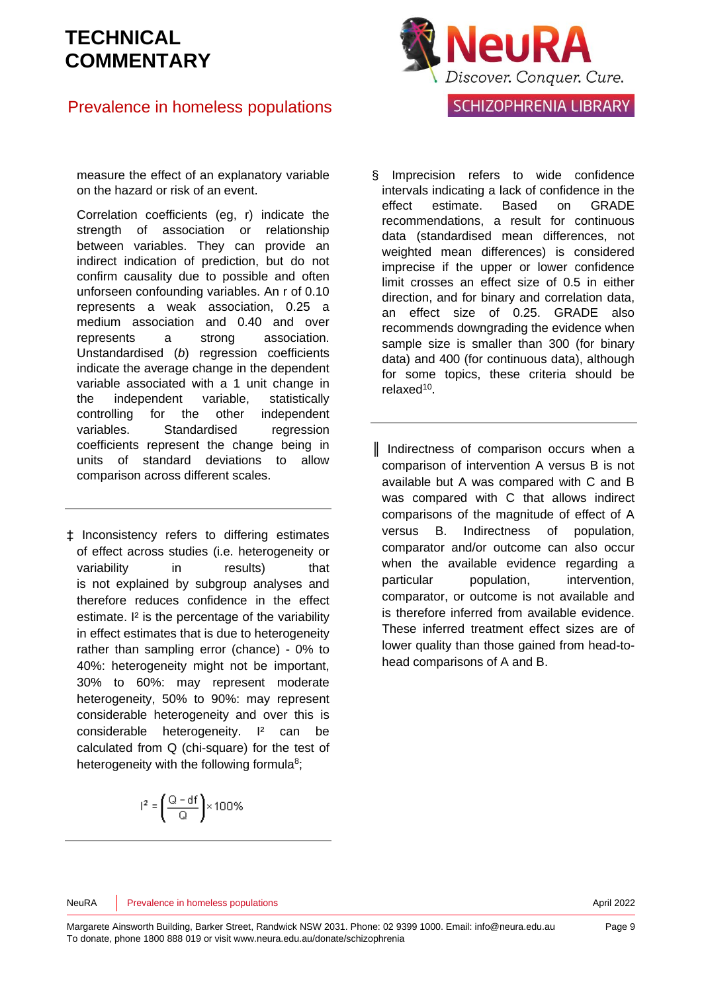### Prevalence in homeless populations



measure the effect of an explanatory variable on the hazard or risk of an event.

Correlation coefficients (eg, r) indicate the strength of association or relationship between variables. They can provide an indirect indication of prediction, but do not confirm causality due to possible and often unforseen confounding variables. An r of 0.10 represents a weak association, 0.25 a medium association and 0.40 and over represents a strong association. Unstandardised (*b*) regression coefficients indicate the average change in the dependent variable associated with a 1 unit change in the independent variable, statistically controlling for the other independent variables. Standardised regression coefficients represent the change being in units of standard deviations to allow comparison across different scales.

‡ Inconsistency refers to differing estimates of effect across studies (i.e. heterogeneity or variability in results) that is not explained by subgroup analyses and therefore reduces confidence in the effect estimate. I² is the percentage of the variability in effect estimates that is due to heterogeneity rather than sampling error (chance) - 0% to 40%: heterogeneity might not be important, 30% to 60%: may represent moderate heterogeneity, 50% to 90%: may represent considerable heterogeneity and over this is considerable heterogeneity. I<sup>2</sup> can be calculated from Q (chi-square) for the test of heterogeneity with the following formul[a](#page-9-3)<sup>8</sup>;

$$
|^2=\left(\frac{Q-df}{Q}\right)\times 100\%
$$

§ Imprecision refers to wide confidence intervals indicating a lack of confidence in the effect estimate. Based on GRADE recommendations, a result for continuous data (standardised mean differences, not weighted mean differences) is considered imprecise if the upper or lower confidence limit crosses an effect size of 0.5 in either direction, and for binary and correlation data, an effect size of 0.25. GRADE also recommends downgrading the evidence when sample size is smaller than 300 (for binary data) and 400 (for continuous data), although for some topics, these criteria should be relaxed<sup>[10](#page-9-5)</sup>.

║ Indirectness of comparison occurs when a comparison of intervention A versus B is not available but A was compared with C and B was compared with C that allows indirect comparisons of the magnitude of effect of A versus B. Indirectness of population, comparator and/or outcome can also occur when the available evidence regarding a particular population, intervention, comparator, or outcome is not available and is therefore inferred from available evidence. These inferred treatment effect sizes are of lower quality than those gained from head-tohead comparisons of A and B.